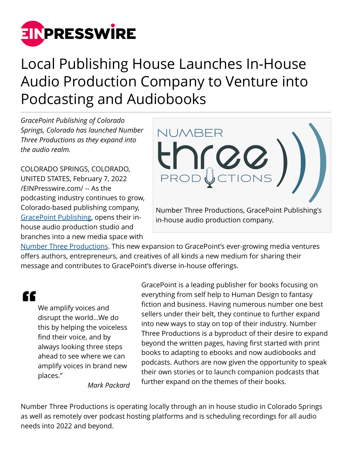

## Local Publishing House Launches In-House Audio Production Company to Venture into Podcasting and Audiobooks

*GracePoint Publishing of Colorado Springs, Colorado has launched Number Three Productions as they expand into the audio realm.*

COLORADO SPRINGS, COLORADO, UNITED STATES, February 7, 2022 [/EINPresswire.com/](http://www.einpresswire.com) -- As the podcasting industry continues to grow, Colorado-based publishing company, [GracePoint Publishing,](https://gracepointpublishing.com/) opens their inhouse audio production studio and branches into a new media space with



[Number Three Productions.](https://numberthreeproductions.com/) This new expansion to GracePoint's ever-growing media ventures offers authors, entrepreneurs, and creatives of all kinds a new medium for sharing their message and contributes to GracePoint's diverse in-house offerings.

"

We amplify voices and disrupt the world...We do this by helping the voiceless find their voice, and by always looking three steps ahead to see where we can amplify voices in brand new places."

GracePoint is a leading publisher for books focusing on everything from self help to Human Design to fantasy fiction and business. Having numerous number one best sellers under their belt, they continue to further expand into new ways to stay on top of their industry. Number Three Productions is a byproduct of their desire to expand beyond the written pages, having first started with print books to adapting to ebooks and now audiobooks and podcasts. Authors are now given the opportunity to speak their own stories or to launch companion podcasts that further expand on the themes of their books.

*Mark Packard*

Number Three Productions is operating locally through an in house studio in Colorado Springs as well as remotely over podcast hosting platforms and is scheduling recordings for all audio needs into 2022 and beyond.